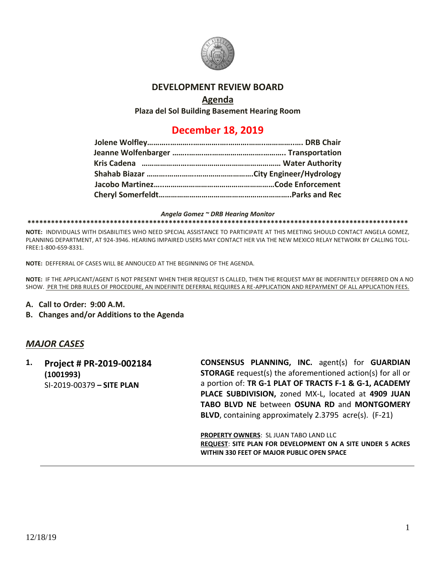

# **DEVELOPMENT REVIEW BOARD**

## **Agenda**

**Plaza del Sol Building Basement Hearing Room**

# **December 18, 2019**

#### *Angela Gomez ~ DRB Hearing Monitor*

#### **\*\*\*\*\*\*\*\*\*\*\*\*\*\*\*\*\*\*\*\*\*\*\*\*\*\*\*\*\*\*\*\*\*\*\*\*\*\*\*\*\*\*\*\*\*\*\*\*\*\*\*\*\*\*\*\*\*\*\*\*\*\*\*\*\*\*\*\*\*\*\*\*\*\*\*\*\*\*\*\*\*\*\*\*\*\*\*\*\*\*\*\*\*\*\*\*\***

**NOTE:** INDIVIDUALS WITH DISABILITIES WHO NEED SPECIAL ASSISTANCE TO PARTICIPATE AT THIS MEETING SHOULD CONTACT ANGELA GOMEZ, PLANNING DEPARTMENT, AT 924-3946. HEARING IMPAIRED USERS MAY CONTACT HER VIA THE NEW MEXICO RELAY NETWORK BY CALLING TOLL-FREE:1-800-659-8331.

**NOTE:** DEFFERRAL OF CASES WILL BE ANNOUCED AT THE BEGINNING OF THE AGENDA.

**NOTE:** IF THE APPLICANT/AGENT IS NOT PRESENT WHEN THEIR REQUEST IS CALLED, THEN THE REQUEST MAY BE INDEFINITELY DEFERRED ON A NO SHOW. PER THE DRB RULES OF PROCEDURE, AN INDEFINITE DEFERRAL REQUIRES A RE-APPLICATION AND REPAYMENT OF ALL APPLICATION FEES.

- **A. Call to Order: 9:00 A.M.**
- **B. Changes and/or Additions to the Agenda**

# *MAJOR CASES*

**1. Project # PR-2019-002184 (1001993)** SI-2019-00379 **– SITE PLAN**

**CONSENSUS PLANNING, INC.** agent(s) for **GUARDIAN STORAGE** request(s) the aforementioned action(s) for all or a portion of: **TR G-1 PLAT OF TRACTS F-1 & G-1, ACADEMY PLACE SUBDIVISION,** zoned MX-L, located at **4909 JUAN TABO BLVD NE** between **OSUNA RD** and **MONTGOMERY BLVD**, containing approximately 2.3795 acre(s). (F-21)

**PROPERTY OWNERS**: SL JUAN TABO LAND LLC **REQUEST**: **SITE PLAN FOR DEVELOPMENT ON A SITE UNDER 5 ACRES WITHIN 330 FEET OF MAJOR PUBLIC OPEN SPACE**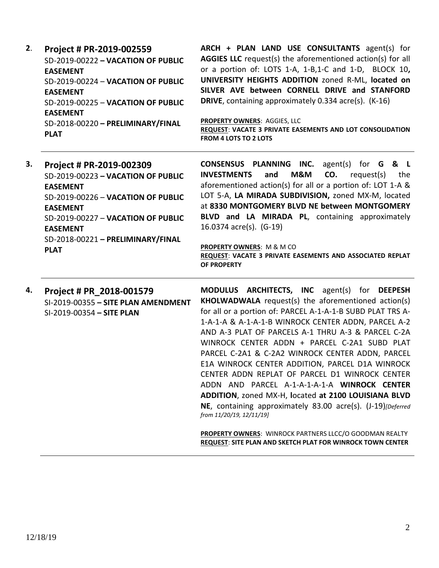| 2. | Project # PR-2019-002559<br>SD-2019-00222 - VACATION OF PUBLIC<br><b>EASEMENT</b><br>SD-2019-00224 - VACATION OF PUBLIC<br><b>EASEMENT</b><br>SD-2019-00225 - VACATION OF PUBLIC<br><b>EASEMENT</b><br>SD-2018-00220 - PRELIMINARY/FINAL<br><b>PLAT</b> | ARCH + PLAN LAND USE CONSULTANTS agent(s) for<br>AGGIES LLC request(s) the aforementioned action(s) for all<br>or a portion of: LOTS 1-A, 1-B,1-C and 1-D, BLOCK 10,<br>UNIVERSITY HEIGHTS ADDITION zoned R-ML, located on<br>SILVER AVE between CORNELL DRIVE and STANFORD<br><b>DRIVE</b> , containing approximately 0.334 acre(s). (K-16)<br>PROPERTY OWNERS: AGGIES, LLC<br>REQUEST: VACATE 3 PRIVATE EASEMENTS AND LOT CONSOLIDATION<br><b>FROM 4 LOTS TO 2 LOTS</b>                                                                                                                                                                                                                         |
|----|---------------------------------------------------------------------------------------------------------------------------------------------------------------------------------------------------------------------------------------------------------|---------------------------------------------------------------------------------------------------------------------------------------------------------------------------------------------------------------------------------------------------------------------------------------------------------------------------------------------------------------------------------------------------------------------------------------------------------------------------------------------------------------------------------------------------------------------------------------------------------------------------------------------------------------------------------------------------|
| 3. | Project # PR-2019-002309<br>SD-2019-00223 - VACATION OF PUBLIC<br><b>EASEMENT</b><br>SD-2019-00226 - VACATION OF PUBLIC<br><b>EASEMENT</b><br>SD-2019-00227 - VACATION OF PUBLIC<br><b>EASEMENT</b><br>SD-2018-00221 - PRELIMINARY/FINAL<br><b>PLAT</b> | CONSENSUS PLANNING INC.<br>agent(s) for $G$ & L<br>M&M<br>CO.<br><b>INVESTMENTS</b><br>and<br>request(s)<br>the<br>aforementioned action(s) for all or a portion of: LOT 1-A &<br>LOT 5-A, LA MIRADA SUBDIVISION, zoned MX-M, located<br>at 8330 MONTGOMERY BLVD NE between MONTGOMERY<br>BLVD and LA MIRADA PL, containing approximately<br>16.0374 acre(s). (G-19)<br>PROPERTY OWNERS: M & M CO<br>REQUEST: VACATE 3 PRIVATE EASEMENTS AND ASSOCIATED REPLAT<br>OF PROPERTY                                                                                                                                                                                                                     |
| 4. | Project # PR_2018-001579<br>SI-2019-00355 - SITE PLAN AMENDMENT<br>SI-2019-00354 - SITE PLAN                                                                                                                                                            | MODULUS ARCHITECTS, INC agent(s) for DEEPESH<br><b>KHOLWADWALA</b> request(s) the aforementioned action(s)<br>for all or a portion of: PARCEL A-1-A-1-B SUBD PLAT TRS A-<br>1-A-1-A & A-1-A-1-B WINROCK CENTER ADDN, PARCEL A-2<br>AND A-3 PLAT OF PARCELS A-1 THRU A-3 & PARCEL C-2A<br>WINROCK CENTER ADDN + PARCEL C-2A1 SUBD PLAT<br>PARCEL C-2A1 & C-2A2 WINROCK CENTER ADDN, PARCEL<br>E1A WINROCK CENTER ADDITION, PARCEL D1A WINROCK<br>CENTER ADDN REPLAT OF PARCEL D1 WINROCK CENTER<br>ADDN AND PARCEL A-1-A-1-A-1-A WINROCK CENTER<br>ADDITION, zoned MX-H, located at 2100 LOUISIANA BLVD<br>NE, containing approximately 83.00 acre(s). (J-19)[Deferred<br>from 11/20/19, 12/11/19] |

**PROPERTY OWNERS**: WINROCK PARTNERS LLCC/O GOODMAN REALTY **REQUEST**: **SITE PLAN AND SKETCH PLAT FOR WINROCK TOWN CENTER**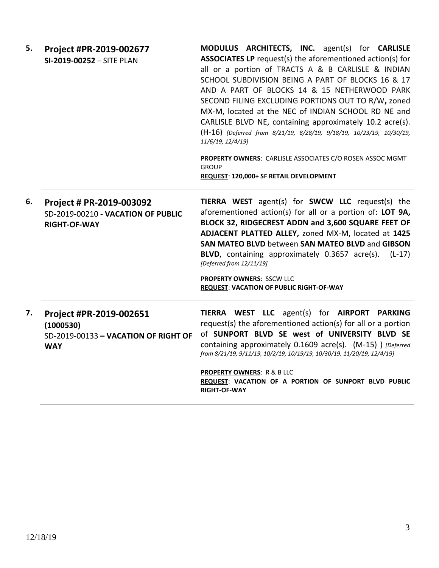| 5. | Project #PR-2019-002677<br>SI-2019-00252 - SITE PLAN                                         | MODULUS ARCHITECTS, INC. agent(s) for CARLISLE<br><b>ASSOCIATES LP</b> request(s) the aforementioned action(s) for<br>all or a portion of TRACTS A & B CARLISLE & INDIAN<br>SCHOOL SUBDIVISION BEING A PART OF BLOCKS 16 & 17<br>AND A PART OF BLOCKS 14 & 15 NETHERWOOD PARK<br>SECOND FILING EXCLUDING PORTIONS OUT TO R/W, zoned<br>MX-M, located at the NEC of INDIAN SCHOOL RD NE and<br>CARLISLE BLVD NE, containing approximately 10.2 acre(s).<br>(H-16) [Deferred from 8/21/19, 8/28/19, 9/18/19, 10/23/19, 10/30/19,<br>11/6/19, 12/4/19]<br>PROPERTY OWNERS: CARLISLE ASSOCIATES C/O ROSEN ASSOC MGMT<br><b>GROUP</b><br>REQUEST: 120,000+ SF RETAIL DEVELOPMENT |
|----|----------------------------------------------------------------------------------------------|-----------------------------------------------------------------------------------------------------------------------------------------------------------------------------------------------------------------------------------------------------------------------------------------------------------------------------------------------------------------------------------------------------------------------------------------------------------------------------------------------------------------------------------------------------------------------------------------------------------------------------------------------------------------------------|
| 6. | Project # PR-2019-003092<br><b>SD-2019-00210 - VACATION OF PUBLIC</b><br><b>RIGHT-OF-WAY</b> | <b>TIERRA WEST</b> agent(s) for <b>SWCW LLC</b> request(s) the<br>aforementioned action(s) for all or a portion of: LOT 9A,<br>BLOCK 32, RIDGECREST ADDN and 3,600 SQUARE FEET OF<br>ADJACENT PLATTED ALLEY, zoned MX-M, located at 1425<br>SAN MATEO BLVD between SAN MATEO BLVD and GIBSON<br>BLVD, containing approximately 0.3657 acre(s).<br>$(L-17)$<br>[Deferred from 12/11/19]<br>PROPERTY OWNERS: SSCW LLC<br><b>REQUEST: VACATION OF PUBLIC RIGHT-OF-WAY</b>                                                                                                                                                                                                      |
| 7. | Project #PR-2019-002651<br>(1000530)<br>SD-2019-00133 - VACATION OF RIGHT OF<br><b>WAY</b>   | TIERRA WEST LLC agent(s) for AIRPORT PARKING<br>request(s) the aforementioned action(s) for all or a portion<br>of SUNPORT BLVD SE west of UNIVERSITY BLVD SE<br>containing approximately 0.1609 acre(s). (M-15) ) [Deferred<br>from 8/21/19, 9/11/19, 10/2/19, 10/19/19, 10/30/19, 11/20/19, 12/4/19]<br><b>PROPERTY OWNERS: R &amp; B LLC</b><br>REQUEST: VACATION OF A PORTION OF SUNPORT BLVD PUBLIC<br><b>RIGHT-OF-WAY</b>                                                                                                                                                                                                                                             |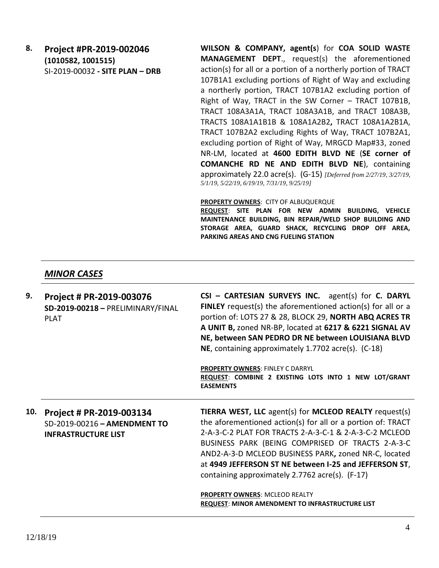**8. Project #PR-2019-002046 (1010582, 1001515)** SI-2019-00032 **- SITE PLAN – DRB** **WILSON & COMPANY, agent(s**) for **COA SOLID WASTE MANAGEMENT DEPT**., request(s) the aforementioned action(s) for all or a portion of a northerly portion of TRACT 107B1A1 excluding portions of Right of Way and excluding a northerly portion, TRACT 107B1A2 excluding portion of Right of Way, TRACT in the SW Corner – TRACT 107B1B, TRACT 108A3A1A, TRACT 108A3A1B, and TRACT 108A3B, TRACTS 108A1A1B1B & 108A1A2B2**,** TRACT 108A1A2B1A, TRACT 107B2A2 excluding Rights of Way, TRACT 107B2A1, excluding portion of Right of Way, MRGCD Map#33, zoned NR-LM, located at **4600 EDITH BLVD NE** (**SE corner of COMANCHE RD NE AND EDITH BLVD NE**), containing approximately 22.0 acre(s). (G-15) *[Deferred from 2/27/19, 3/27/19, 5/1/19, 5/22/19, 6/19/19, 7/31/19, 9/25/19]*

#### **PROPERTY OWNERS**: CITY OF ALBUQUERQUE

**REQUEST**: **SITE PLAN FOR NEW ADMIN BUILDING, VEHICLE MAINTENANCE BUILDING, BIN REPAIR/WELD SHOP BUILDING AND STORAGE AREA, GUARD SHACK, RECYCLING DROP OFF AREA, PARKING AREAS AND CNG FUELING STATION**

### *MINOR CASES*

| 9.  | Project # PR-2019-003076<br>SD-2019-00218 - PRELIMINARY/FINAL<br><b>PLAT</b>           | CSI - CARTESIAN SURVEYS INC. agent(s) for C. DARYL<br><b>FINLEY</b> request(s) the aforementioned action(s) for all or a<br>portion of: LOTS 27 & 28, BLOCK 29, NORTH ABQ ACRES TR<br>A UNIT B, zoned NR-BP, located at 6217 & 6221 SIGNAL AV<br>NE, between SAN PEDRO DR NE between LOUISIANA BLVD<br>NE, containing approximately 1.7702 acre(s). (C-18)<br><b>PROPERTY OWNERS: FINLEY C DARRYL</b><br>REQUEST: COMBINE 2 EXISTING LOTS INTO 1 NEW LOT/GRANT<br><b>EASEMENTS</b>                   |
|-----|----------------------------------------------------------------------------------------|------------------------------------------------------------------------------------------------------------------------------------------------------------------------------------------------------------------------------------------------------------------------------------------------------------------------------------------------------------------------------------------------------------------------------------------------------------------------------------------------------|
| 10. | Project # PR-2019-003134<br>SD-2019-00216 - AMENDMENT TO<br><b>INFRASTRUCTURE LIST</b> | TIERRA WEST, LLC agent(s) for MCLEOD REALTY request(s)<br>the aforementioned action(s) for all or a portion of: TRACT<br>2-A-3-C-2 PLAT FOR TRACTS 2-A-3-C-1 & 2-A-3-C-2 MCLEOD<br>BUSINESS PARK (BEING COMPRISED OF TRACTS 2-A-3-C<br>AND2-A-3-D MCLEOD BUSINESS PARK, zoned NR-C, located<br>at 4949 JEFFERSON ST NE between I-25 and JEFFERSON ST,<br>containing approximately 2.7762 acre(s). (F-17)<br>PROPERTY OWNERS: MCLEOD REALTY<br><b>REQUEST: MINOR AMENDMENT TO INFRASTRUCTURE LIST</b> |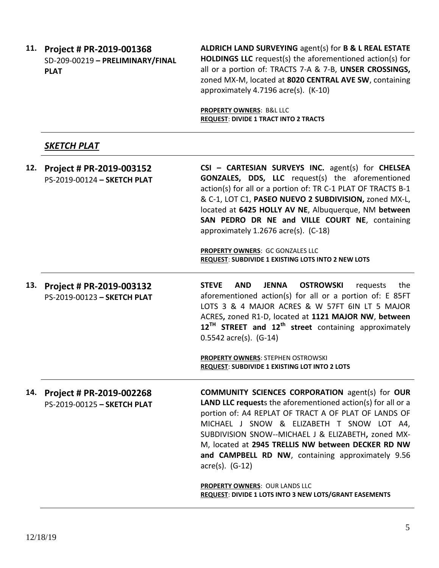**11. Project # PR-2019-001368** SD-209-00219 **– PRELIMINARY/FINAL PLAT**

**ALDRICH LAND SURVEYING** agent(s) for **B & L REAL ESTATE HOLDINGS LLC** request(s) the aforementioned action(s) for all or a portion of: TRACTS 7-A & 7-B, **UNSER CROSSINGS,**  zoned MX-M, located at **8020 CENTRAL AVE SW**, containing approximately 4.7196 acre(s). (K-10)

**PROPERTY OWNERS**: B&L LLC **REQUEST**: **DIVIDE 1 TRACT INTO 2 TRACTS**

# *SKETCH PLAT*

| 12. | Project # PR-2019-003152<br>PS-2019-00124 - SKETCH PLAT | CSI - CARTESIAN SURVEYS INC. agent(s) for CHELSEA<br><b>GONZALES, DDS, LLC</b> request(s) the aforementioned<br>action(s) for all or a portion of: TR C-1 PLAT OF TRACTS B-1<br>& C-1, LOT C1, PASEO NUEVO 2 SUBDIVISION, zoned MX-L,<br>located at 6425 HOLLY AV NE, Albuquerque, NM between<br>SAN PEDRO DR NE and VILLE COURT NE, containing<br>approximately 1.2676 acre(s). (C-18)                                                                    |  |
|-----|---------------------------------------------------------|------------------------------------------------------------------------------------------------------------------------------------------------------------------------------------------------------------------------------------------------------------------------------------------------------------------------------------------------------------------------------------------------------------------------------------------------------------|--|
|     |                                                         | PROPERTY OWNERS: GC GONZALES LLC<br>REQUEST: SUBDIVIDE 1 EXISTING LOTS INTO 2 NEW LOTS                                                                                                                                                                                                                                                                                                                                                                     |  |
| 13. | Project # PR-2019-003132<br>PS-2019-00123 - SKETCH PLAT | <b>STEVE</b><br><b>AND</b><br><b>JENNA</b><br><b>OSTROWSKI</b><br>the<br>requests<br>aforementioned action(s) for all or a portion of: E 85FT<br>LOTS 3 & 4 MAJOR ACRES & W 57FT 6IN LT 5 MAJOR<br>ACRES, zoned R1-D, located at 1121 MAJOR NW, between<br>$12^{TH}$ STREET and $12^{th}$ street containing approximately<br>$0.5542$ acre(s). (G-14)<br><b>PROPERTY OWNERS: STEPHEN OSTROWSKI</b><br><b>REQUEST: SUBDIVIDE 1 EXISTING LOT INTO 2 LOTS</b> |  |
| 14. | Project # PR-2019-002268<br>PS-2019-00125 - SKETCH PLAT | <b>COMMUNITY SCIENCES CORPORATION agent(s) for OUR</b><br>LAND LLC requests the aforementioned action(s) for all or a<br>portion of: A4 REPLAT OF TRACT A OF PLAT OF LANDS OF<br>MICHAEL J SNOW & ELIZABETH T SNOW LOT A4,<br>SUBDIVISION SNOW--MICHAEL J & ELIZABETH, zoned MX-<br>M, located at 2945 TRELLIS NW between DECKER RD NW<br>and CAMPBELL RD NW, containing approximately 9.56                                                                |  |

acre(s). (G-12)

**PROPERTY OWNERS**: OUR LANDS LLC **REQUEST**: **DIVIDE 1 LOTS INTO 3 NEW LOTS/GRANT EASEMENTS**